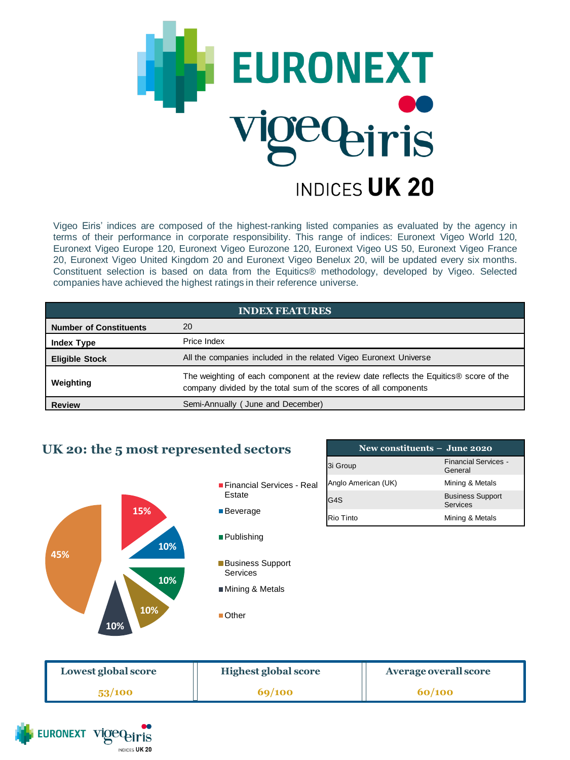

Vigeo Eiris' indices are composed of the highest-ranking listed companies as evaluated by the agency in terms of their performance in corporate responsibility. This range of indices: Euronext Vigeo World 120, Euronext Vigeo Europe 120, Euronext Vigeo Eurozone 120, Euronext Vigeo US 50, Euronext Vigeo France 20, Euronext Vigeo United Kingdom 20 and Euronext Vigeo Benelux 20, will be updated every six months. Constituent selection is based on data from the Equitics® methodology, developed by Vigeo. Selected companies have achieved the highest ratings in their reference universe.

| <b>INDEX FEATURES</b>         |                                                                                                                                                            |  |  |
|-------------------------------|------------------------------------------------------------------------------------------------------------------------------------------------------------|--|--|
| <b>Number of Constituents</b> | 20                                                                                                                                                         |  |  |
| <b>Index Type</b>             | Price Index                                                                                                                                                |  |  |
| <b>Eligible Stock</b>         | All the companies included in the related Vigeo Euronext Universe                                                                                          |  |  |
| Weighting                     | The weighting of each component at the review date reflects the Equitics® score of the<br>company divided by the total sum of the scores of all components |  |  |
| <b>Review</b>                 | Semi-Annually (June and December)                                                                                                                          |  |  |

## **UK 20: the 5 most represented sectors**



| New constituents $-$ June 2020 |                                        |  |  |  |
|--------------------------------|----------------------------------------|--|--|--|
| 3i Group                       | <b>Financial Services -</b><br>General |  |  |  |
| Anglo American (UK)            | Mining & Metals                        |  |  |  |
| G4S                            | <b>Business Support</b><br>Services    |  |  |  |
| Rio Tinto                      | Mining & Metals                        |  |  |  |

| Lowest global score | <b>Highest global score</b> | Average overall score |
|---------------------|-----------------------------|-----------------------|
| 53/100              | 69/100                      | 60/100                |